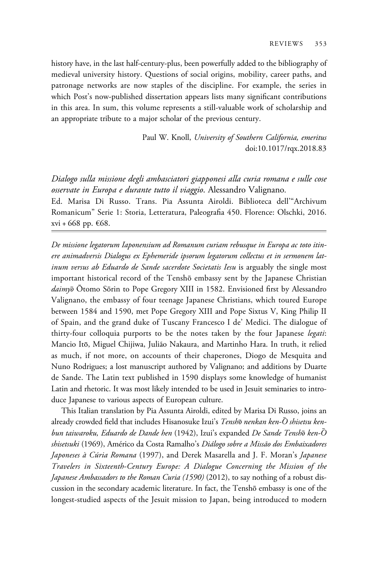history have, in the last half-century-plus, been powerfully added to the bibliography of medieval university history. Questions of social origins, mobility, career paths, and patronage networks are now staples of the discipline. For example, the series in which Post's now-published dissertation appears lists many significant contributions in this area. In sum, this volume represents a still-valuable work of scholarship and an appropriate tribute to a major scholar of the previous century.

> Paul W. Knoll, University of Southern California, emeritus doi:10.1017/rqx.2018.83

Dialogo sulla missione degli ambasciatori giapponesi alla curia romana e sulle cose osservate in Europa e durante tutto il viaggio. Alessandro Valignano. Ed. Marisa Di Russo. Trans. Pia Assunta Airoldi. Biblioteca dell'"Archivum

Romanicum" Serie 1: Storia, Letteratura, Paleografia 450. Florence: Olschki, 2016. xvi + 668 pp. €68.

De missione legatorum Iaponensium ad Romanum curiam rebusque in Europa ac toto itinere animadversis Dialogus ex Ephemeride ipsorum legatorum collectus et in sermonem latinum versus ab Eduardo de Sande sacerdote Societatis Iesu is arguably the single most important historical record of the Tenshō embassy sent by the Japanese Christian daimyō Ōtomo Sōrin to Pope Gregory XIII in 1582. Envisioned first by Alessandro Valignano, the embassy of four teenage Japanese Christians, which toured Europe between 1584 and 1590, met Pope Gregory XIII and Pope Sixtus V, King Philip II of Spain, and the grand duke of Tuscany Francesco I de' Medici. The dialogue of thirty-four colloquia purports to be the notes taken by the four Japanese legati: Mancio Itō, Miguel Chijiwa, Julião Nakaura, and Martinho Hara. In truth, it relied as much, if not more, on accounts of their chaperones, Diogo de Mesquita and Nuno Rodrigues; a lost manuscript authored by Valignano; and additions by Duarte de Sande. The Latin text published in 1590 displays some knowledge of humanist Latin and rhetoric. It was most likely intended to be used in Jesuit seminaries to introduce Japanese to various aspects of European culture.

This Italian translation by Pia Assunta Airoldi, edited by Marisa Di Russo, joins an already crowded field that includes Hisanosuke Izui's *Tenshō nenkan ken-Ō shisetsu ken*bun taiwaroku, Eduardo de Dande hen (1942), Izui's expanded De Sande Tenshō ken-Ō shisetsuki (1969), Américo da Costa Ramalho's Diálogo sobre a Missão dos Embaixadores Japoneses à Cúria Romana (1997), and Derek Masarella and J. F. Moran's Japanese Travelers in Sixteenth-Century Europe: A Dialogue Concerning the Mission of the Japanese Ambassadors to the Roman Curia (1590) (2012), to say nothing of a robust discussion in the secondary academic literature. In fact, the Tenshō embassy is one of the longest-studied aspects of the Jesuit mission to Japan, being introduced to modern